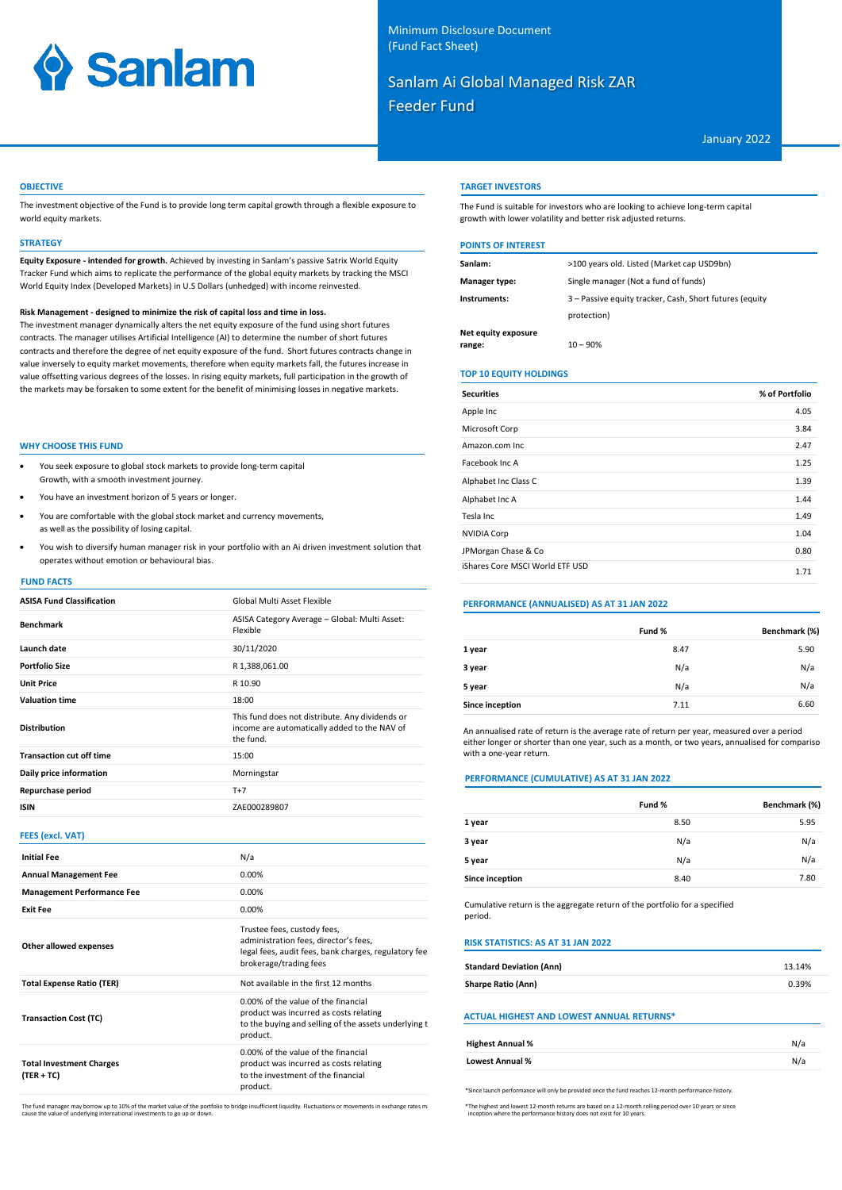# **Sanlam**

# Sanlam Ai Global Managed Risk ZAR Feeder Fund

January 2022

#### **OBJECTIVE**

The investment objective of the Fund is to provide long term capital growth through a flexible exposure to world equity markets.

#### **STRATEGY**

**Equity Exposure - intended for growth.** Achieved by investing in Sanlam's passive Satrix World Equity Tracker Fund which aims to replicate the performance of the global equity markets by tracking the MSCI World Equity Index (Developed Markets) in U.S Dollars (unhedged) with income reinvested.

#### **Risk Management - designed to minimize the risk of capital loss and time in loss.**

The investment manager dynamically alters the net equity exposure of the fund using short futures contracts. The manager utilises Artificial Intelligence (AI) to determine the number of short futures contracts and therefore the degree of net equity exposure of the fund. Short futures contracts change in value inversely to equity market movements, therefore when equity markets fall, the futures increase in value offsetting various degrees of the losses. In rising equity markets, full participation in the growth of the markets may be forsaken to some extent for the benefit of minimising losses in negative markets.

#### **WHY CHOOSE THIS FUND**

- You seek exposure to global stock markets to provide long-term capital Growth, with a smooth investment journey.
- You have an investment horizon of 5 years or longer.
- You are comfortable with the global stock market and currency movements, as well as the possibility of losing capital.
- You wish to diversify human manager risk in your portfolio with an Ai driven investment solution that operates without emotion or behavioural bias.

#### **FUND FACTS**

| <b>ASISA Fund Classification</b> | Global Multi Asset Flexible                                                                                  |
|----------------------------------|--------------------------------------------------------------------------------------------------------------|
| <b>Benchmark</b>                 | ASISA Category Average - Global: Multi Asset:<br>Flexible                                                    |
| Launch date                      | 30/11/2020                                                                                                   |
| <b>Portfolio Size</b>            | R 1,388,061.00                                                                                               |
| <b>Unit Price</b>                | R 10.90                                                                                                      |
| <b>Valuation time</b>            | 18:00                                                                                                        |
| <b>Distribution</b>              | This fund does not distribute. Any dividends or<br>income are automatically added to the NAV of<br>the fund. |
| <b>Transaction cut off time</b>  | 15:00                                                                                                        |
| Daily price information          | Morningstar                                                                                                  |
| Repurchase period                | $T+7$                                                                                                        |
| <b>ISIN</b>                      | ZAE000289807                                                                                                 |

#### **FEES (excl. VAT)**

| <b>Initial Fee</b>                              | N/a                                                                                                                                                    |
|-------------------------------------------------|--------------------------------------------------------------------------------------------------------------------------------------------------------|
| <b>Annual Management Fee</b>                    | 0.00%                                                                                                                                                  |
| <b>Management Performance Fee</b>               | 0.00%                                                                                                                                                  |
| <b>Exit Fee</b>                                 | $0.00\%$                                                                                                                                               |
| Other allowed expenses                          | Trustee fees, custody fees,<br>administration fees, director's fees,<br>legal fees, audit fees, bank charges, regulatory fee<br>brokerage/trading fees |
| <b>Total Expense Ratio (TER)</b>                | Not available in the first 12 months                                                                                                                   |
| <b>Transaction Cost (TC)</b>                    | 0.00% of the value of the financial<br>product was incurred as costs relating<br>to the buying and selling of the assets underlying t<br>product.      |
| <b>Total Investment Charges</b><br>$(TER + TC)$ | 0.00% of the value of the financial<br>product was incurred as costs relating<br>to the investment of the financial<br>product.                        |

#### **TARGET INVESTORS**

The Fund is suitable for investors who are looking to achieve long-term capital growth with lower volatility and better risk adjusted returns.

## **POINTS OF INTEREST**

| Sanlam:             | >100 years old. Listed (Market cap USD9bn)              |
|---------------------|---------------------------------------------------------|
| Manager type:       | Single manager (Not a fund of funds)                    |
| Instruments:        | 3 - Passive equity tracker, Cash, Short futures (equity |
|                     | protection)                                             |
| Net equity exposure |                                                         |
| range:              | $10 - 90%$                                              |

#### **TOP 10 EQUITY HOLDINGS**

| <b>Securities</b>               | % of Portfolio |
|---------------------------------|----------------|
| Apple Inc                       | 4.05           |
| Microsoft Corp                  | 3.84           |
| Amazon.com Inc.                 | 2.47           |
| Facebook Inc. A                 | 1.25           |
| Alphabet Inc Class C            | 1.39           |
| Alphabet Inc A                  | 1.44           |
| Tesla Inc                       | 1.49           |
| <b>NVIDIA Corp</b>              | 1.04           |
| JPMorgan Chase & Co             | 0.80           |
| iShares Core MSCI World ETF USD | 1.71           |

#### **PERFORMANCE (ANNUALISED) AS AT 31 JAN 2022**

|                 | Fund % | Benchmark (%) |
|-----------------|--------|---------------|
| 1 year          | 8.47   | 5.90          |
| 3 year          | N/a    | N/a           |
| 5 year          | N/a    | N/a           |
| Since inception | 7.11   | 6.60          |

An annualised rate of return is the average rate of return per year, measured over a period either longer or shorter than one year, such as a month, or two years, annualised for compariso with a one-year return.

#### **PERFORMANCE (CUMULATIVE) AS AT 31 JAN 2022**

|                 | Fund % | Benchmark (%) |
|-----------------|--------|---------------|
| 1 year          | 8.50   | 5.95          |
| 3 year          | N/a    | N/a           |
| 5 year          | N/a    | N/a           |
| Since inception | 8.40   | 7.80          |

Cumulative return is the aggregate return of the portfolio for a specified period.

## **RISK STATISTICS: AS AT 31 JAN 2022**

| <b>Standard Deviation (Ann)</b>                  | 13.14% |
|--------------------------------------------------|--------|
| <b>Sharpe Ratio (Ann)</b>                        | 0.39%  |
| <b>ACTUAL HIGHEST AND LOWEST ANNUAL RETURNS*</b> |        |
| <b>Highest Annual %</b>                          | N/a    |
| <b>Lowest Annual %</b>                           | N/a    |

The fund manager may borrow up to 10% of the market value of the portfolio to bridge insufficient liquidity. Fluctuations or movements in exchange rates m:<br>cause the value of underlying international investments to go up o

\*Since launch performance will only be provided once the fund reaches 12-month performance history.

\*The highest and lowest 12-month returns are based on a 12-month rolling period over 10 years or since inception where the performance history does not exist for 10 years.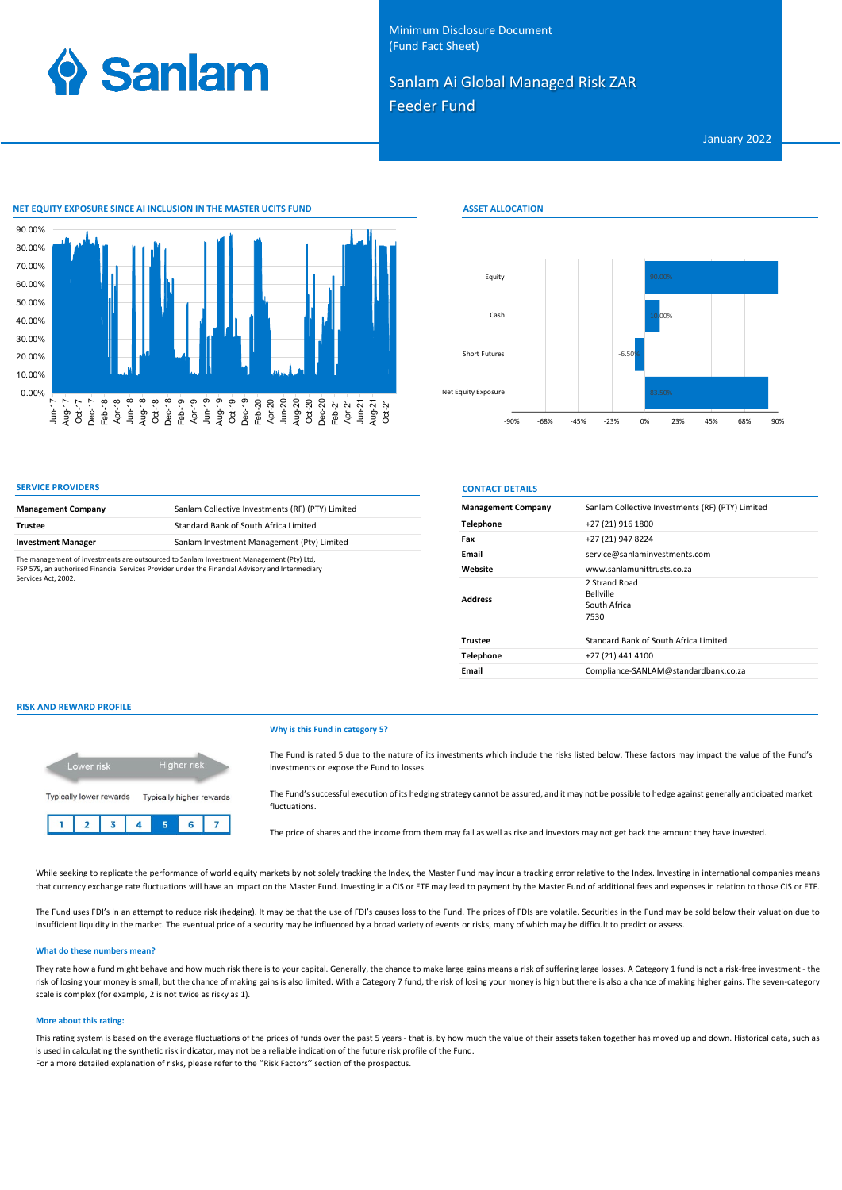

Minimum Disclosure Document (Fund Fact Sheet)

## Sanlam Ai Global Managed Risk ZAR Feeder Fund

**ASSET ALLOCATION**

January 2022



| <b>Management Company</b>                                                                                                                                                                                          | Sanlam Collective Investments (RF) (PTY) Limited |
|--------------------------------------------------------------------------------------------------------------------------------------------------------------------------------------------------------------------|--------------------------------------------------|
| <b>Trustee</b>                                                                                                                                                                                                     | Standard Bank of South Africa Limited            |
| <b>Investment Manager</b>                                                                                                                                                                                          | Sanlam Investment Management (Pty) Limited       |
| The management of investments are outsourced to Sanlam Investment Management (Pty) Ltd,<br>FSP 579, an authorised Financial Services Provider under the Financial Advisory and Intermediary<br>Services Act. 2002. |                                                  |

| Equity              |        |                  |        |          | 90.00% |     |     |     |     |
|---------------------|--------|------------------|--------|----------|--------|-----|-----|-----|-----|
| Cash                |        |                  |        |          | 10.00% |     |     |     |     |
| Short Futures       |        |                  |        | $-6.50%$ |        |     |     |     |     |
| Net Equity Exposure |        |                  |        |          | 83.50% |     |     |     |     |
|                     | $-90%$ | $-68%$<br>$-45%$ | $-23%$ | 0%       |        | 23% | 45% | 68% | 90% |

## **SERVICE PROVIDERS CONTACT DETAILS**

| <b>Management Company</b> | Sanlam Collective Investments (RF) (PTY) Limited          |
|---------------------------|-----------------------------------------------------------|
| <b>Telephone</b>          | +27 (21) 916 1800                                         |
| Fax                       | +27 (21) 947 8224                                         |
| Email                     | service@sanlaminvestments.com                             |
| Website                   | www.sanlamunittrusts.co.za                                |
| <b>Address</b>            | 2 Strand Road<br><b>Bellville</b><br>South Africa<br>7530 |
| <b>Trustee</b>            | Standard Bank of South Africa Limited                     |
| <b>Telephone</b>          | +27 (21) 441 4100                                         |
| Email                     | Compliance-SANLAM@standardbank.co.za                      |

#### **RISK AND REWARD PROFILE**



#### **Why is this Fund in category 5?**

The Fund is rated 5 due to the nature of its investments which include the risks listed below. These factors may impact the value of the Fund's investments or expose the Fund to losses.

The Fund's successful execution of its hedging strategy cannot be assured, and it may not be possible to hedge against generally anticipated market fluctuations.

The price of shares and the income from them may fall as well as rise and investors may not get back the amount they have invested.

While seeking to replicate the performance of world equity markets by not solely tracking the Index, the Master Fund may incur a tracking error relative to the Index. Investing in international companies means that currency exchange rate fluctuations will have an impact on the Master Fund. Investing in a CIS or ETF may lead to payment by the Master Fund of additional fees and expenses in relation to those CIS or ETF.

The Fund uses FDI's in an attempt to reduce risk (hedging). It may be that the use of FDI's causes loss to the Fund. The prices of FDIs are volatile. Securities in the Fund may be sold below their valuation due to insufficient liquidity in the market. The eventual price of a security may be influenced by a broad variety of events or risks, many of which may be difficult to predict or assess.

#### **What do these numbers mean?**

They rate how a fund might behave and how much risk there is to your capital. Generally, the chance to make large gains means a risk of suffering large losses. A Category 1 fund is not a risk-free investment - the risk of losing your money is small, but the chance of making gains is also limited. With a Category 7 fund, the risk of losing your money is high but there is also a chance of making higher gains. The seven-category scale is complex (for example, 2 is not twice as risky as 1).

#### **More about this rating:**

This rating system is based on the average fluctuations of the prices of funds over the past 5 years - that is, by how much the value of their assets taken together has moved up and down. Historical data, such as is used in calculating the synthetic risk indicator, may not be a reliable indication of the future risk profile of the Fund. For a more detailed explanation of risks, please refer to the ''Risk Factors'' section of the prospectus.